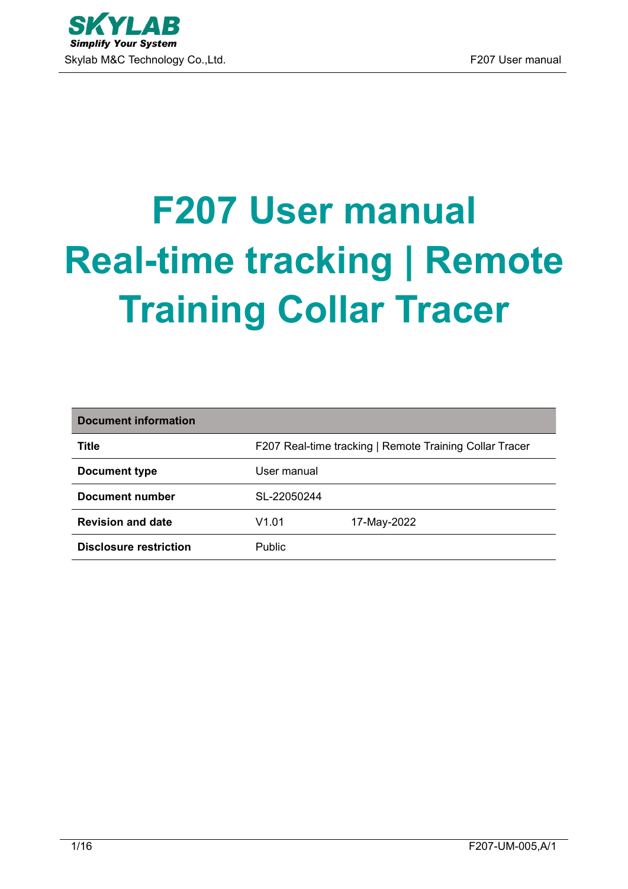# **F207 User manual Real-time tracking | Remote Training Collar Tracer**

| Document information          |               |                                                         |
|-------------------------------|---------------|---------------------------------------------------------|
| <b>Title</b>                  |               | F207 Real-time tracking   Remote Training Collar Tracer |
| Document type                 | User manual   |                                                         |
| Document number               | SL-22050244   |                                                         |
| <b>Revision and date</b>      | V1.01         | 17-May-2022                                             |
| <b>Disclosure restriction</b> | <b>Public</b> |                                                         |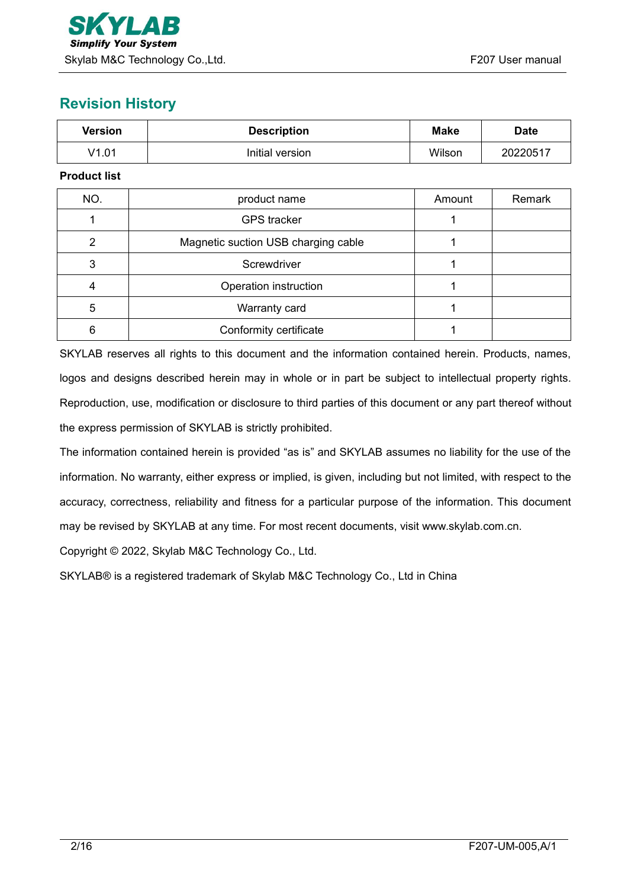## **Revision History**

| <b>Version</b>                                        | <b>Description</b>    |        | <b>Date</b> |
|-------------------------------------------------------|-----------------------|--------|-------------|
| V1.01                                                 | Initial version       | Wilson | 20220517    |
| <b>Product list</b>                                   |                       |        |             |
| NO.                                                   | product name          | Amount | Remark      |
|                                                       | <b>GPS</b> tracker    |        |             |
| $\overline{2}$<br>Magnetic suction USB charging cable |                       |        |             |
| 3                                                     | Screwdriver           |        |             |
| 4                                                     | Operation instruction |        |             |

| 6 | Conformity certificate                                                                                      |  |
|---|-------------------------------------------------------------------------------------------------------------|--|
|   | SKYLAB reserves all rights to this document and the information contained herein. Products, names,          |  |
|   | logos and designs described herein may in whole or in part be subject to intellectual property rights.      |  |
|   | Reproduction, use, modification or disclosure to third parties of this document or any part thereof without |  |
|   | the express permission of SKYLAB is strictly prohibited.                                                    |  |

5 Narranty card 1

The information contained herein is provided "as is" and SKYLAB assumes no liability for the use of the information. No warranty, either express or implied, is given, including but not limited, with respect to the accuracy, correctness, reliability and fitness for a particular purpose of the information. This document may be revised by SKYLAB at any time. For most recent documents, visit [www.skylab.com.cn.](http://www.skylab.com.cn.)

Copyright © 2022, Skylab M&C Technology Co., Ltd.

SKYLAB® is a registered trademark of Skylab M&C Technology Co., Ltd in China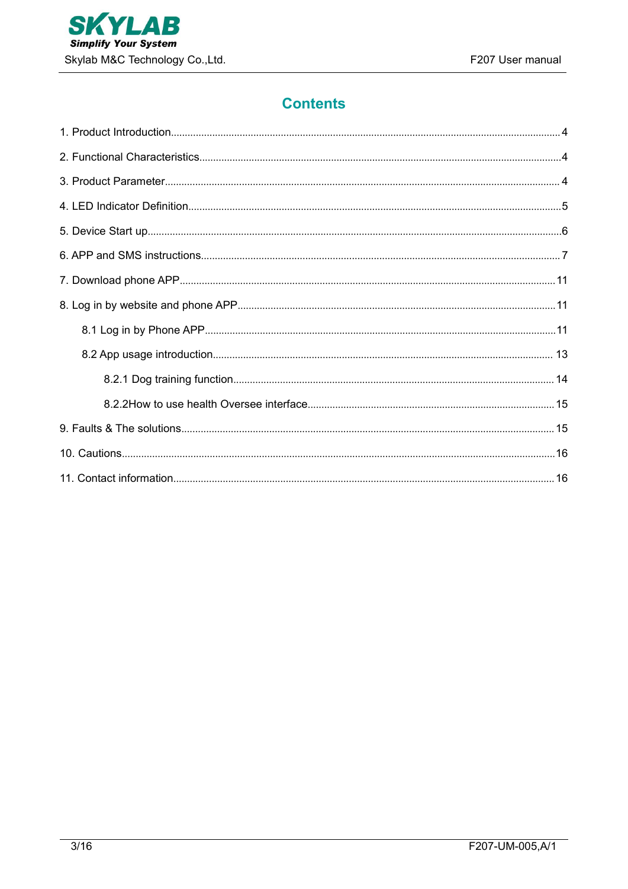

## **Contents**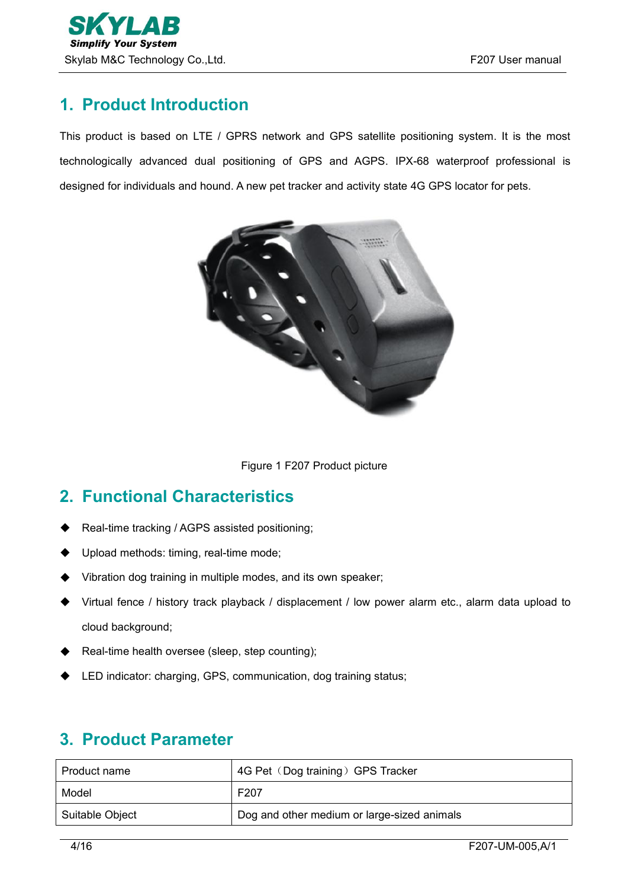# <span id="page-3-0"></span>**1. Product Introduction**

This product is based on LTE / GPRS network and GPS satellite positioning system. It is the most technologically advanced dual positioning of GPS and AGPS. IPX-68 waterproof professional is designed for individuals and hound. A new pet tracker and activity state 4G GPS locator for pets.



Figure 1 F207 Product picture

# <span id="page-3-1"></span>**2. Functional Characteristics**

- Real-time tracking / AGPS assisted positioning;
- Upload methods: timing, real-time mode;
- Vibration dog training in multiple modes, and its own speaker;
- Virtual fence / history track playback / displacement / low power alarm etc., alarm data upload to cloud background;
- ◆ Real-time health oversee (sleep, step counting);
- ◆ LED indicator: charging, GPS, communication, dog training status;

| Product name    | 4G Pet (Dog training) GPS Tracker           |
|-----------------|---------------------------------------------|
| Model           | F <sub>20</sub> 7                           |
| Suitable Object | Dog and other medium or large-sized animals |

## <span id="page-3-2"></span>**3. Product Parameter**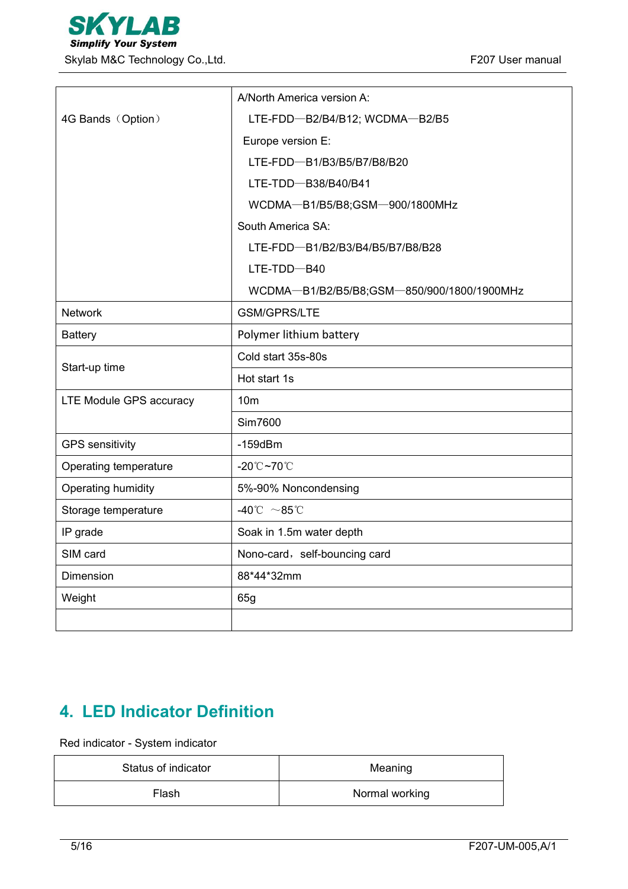|                         | A/North America version A:                   |
|-------------------------|----------------------------------------------|
| 4G Bands (Option)       | LTE-FDD-B2/B4/B12; WCDMA-B2/B5               |
|                         | Europe version E:                            |
|                         | LTE-FDD-B1/B3/B5/B7/B8/B20                   |
|                         | LTE-TDD-B38/B40/B41                          |
|                         | WCDMA-B1/B5/B8;GSM-900/1800MHz               |
|                         | South America SA:                            |
|                         | LTE-FDD-B1/B2/B3/B4/B5/B7/B8/B28             |
|                         | $LTE-TDD - B40$                              |
|                         | WCDMA-B1/B2/B5/B8;GSM-850/900/1800/1900MHz   |
| <b>Network</b>          | <b>GSM/GPRS/LTE</b>                          |
| <b>Battery</b>          | Polymer lithium battery                      |
|                         | Cold start 35s-80s                           |
| Start-up time           | Hot start 1s                                 |
| LTE Module GPS accuracy | 10 <sub>m</sub>                              |
|                         | <b>Sim7600</b>                               |
| <b>GPS</b> sensitivity  | $-159$ d $Bm$                                |
| Operating temperature   | $-20^{\circ}\text{C}$ ~70 $^{\circ}\text{C}$ |
| Operating humidity      | 5%-90% Noncondensing                         |
| Storage temperature     | -40°C $\sim$ 85°C                            |
| IP grade                | Soak in 1.5m water depth                     |
| SIM card                | Nono-card, self-bouncing card                |
| Dimension               | 88*44*32mm                                   |
| Weight                  | 65g                                          |
|                         |                                              |

# <span id="page-4-0"></span>**4. LED Indicator Definition**

Red indicator - System indicator

| Status of indicator | Meaning        |
|---------------------|----------------|
| Flash               | Normal working |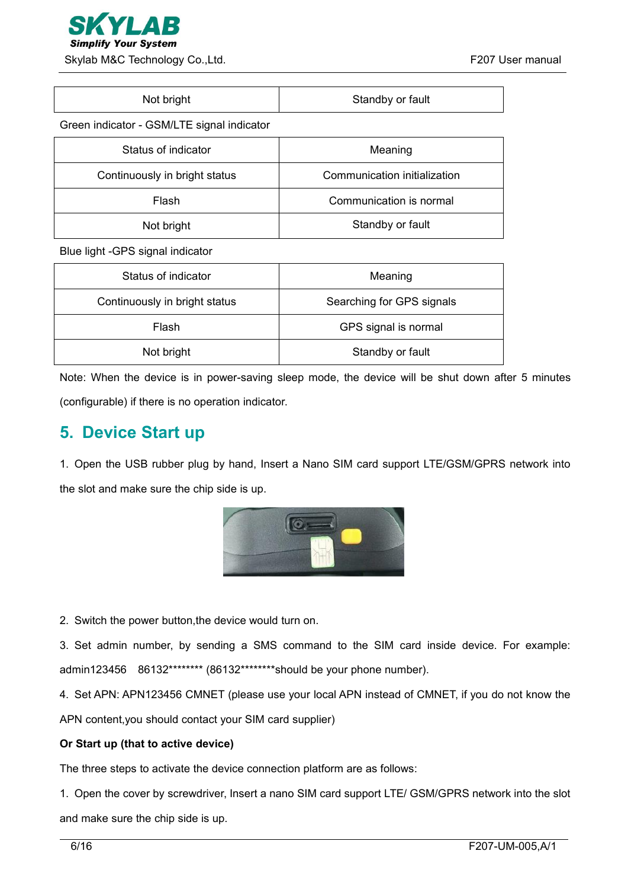

| Not bright |  |  |
|------------|--|--|
|            |  |  |

Standby or fault

Green indicator - GSM/LTE signal indicator

| Status of indicator           | Meaning                      |
|-------------------------------|------------------------------|
| Continuously in bright status | Communication initialization |
| Flash                         | Communication is normal      |
| Not bright                    | Standby or fault             |

Blue light -GPS signal indicator

| Status of indicator           | Meaning                   |
|-------------------------------|---------------------------|
| Continuously in bright status | Searching for GPS signals |
| Flash                         | GPS signal is normal      |
| Not bright                    | Standby or fault          |

Note: When the device is in power-saving sleep mode, the device will be shut down after 5 minutes (configurable) if there is no operation indicator.

## <span id="page-5-0"></span>**5. Device Start up**

1. Open the USB rubber plug by hand, Insert a Nano SIM card support LTE/GSM/GPRS network into the slot and make sure the chip side is up.



2. Switch the power button,the device would turn on.

3. Set admin number, by sending a SMS command to the SIM card inside device. For example: admin123456 86132\*\*\*\*\*\*\*\* (86132\*\*\*\*\*\*\*\*should be your phone number).

4. Set APN: APN123456 CMNET (please use your local APN instead of CMNET, if you do not know the

APN content,you should contact your SIM card supplier)

#### **Or Start up (that to active device)**

The three steps to activate the device connection platform are as follows:

1. Open the cover by screwdriver, Insert a nano SIM card support LTE/ GSM/GPRS network into the slot and make sure the chip side is up.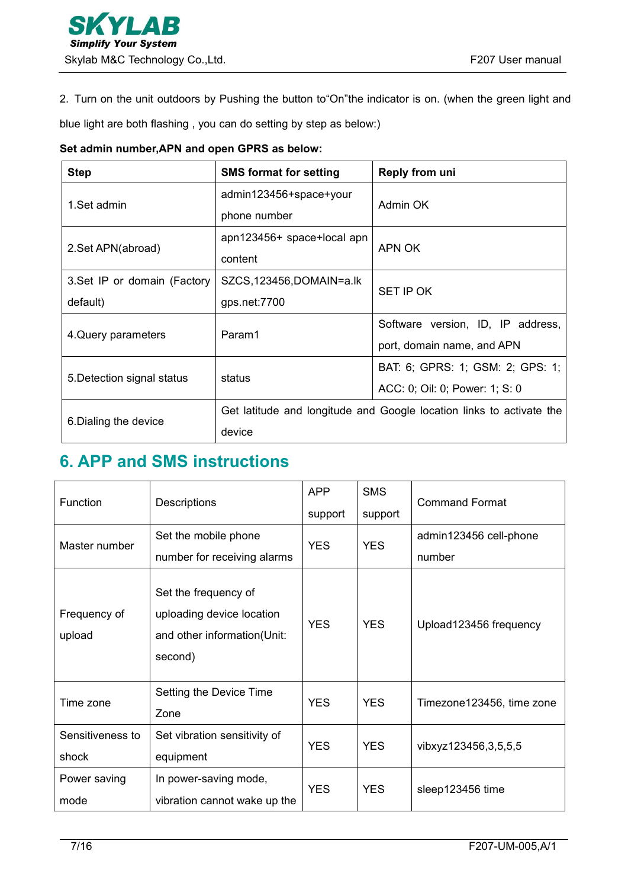2. Turn on the unit outdoors by Pushing the button to"On"the indicator is on. (when the green light and

blue light are both flashing , you can do setting by step as below:)

#### **Set admin number,APN and open GPRS as below:**

| <b>Step</b>                  | <b>SMS format for setting</b>                                        | Reply from uni                    |  |
|------------------------------|----------------------------------------------------------------------|-----------------------------------|--|
| 1.Set admin                  | admin123456+space+your                                               |                                   |  |
|                              | phone number                                                         | Admin OK                          |  |
|                              | apn123456+ space+local apn                                           |                                   |  |
| 2.Set APN(abroad)            | content                                                              | APN OK                            |  |
| 3. Set IP or domain (Factory | SZCS, 123456, DOMAIN=a.lk                                            | SET IP OK                         |  |
| default)                     | gps.net:7700                                                         |                                   |  |
|                              | Param1                                                               | Software version, ID, IP address, |  |
| 4. Query parameters          |                                                                      | port, domain name, and APN        |  |
| 5. Detection signal status   | status                                                               | BAT: 6; GPRS: 1; GSM: 2; GPS: 1;  |  |
|                              |                                                                      | ACC: 0; Oil: 0; Power: 1; S: 0    |  |
| 6. Dialing the device        | Get latitude and longitude and Google location links to activate the |                                   |  |
|                              | device                                                               |                                   |  |

## <span id="page-6-0"></span>**6. APP and SMS instructions**

| Function                  | Descriptions                                                                                | <b>APP</b><br>support | <b>SMS</b><br>support | <b>Command Format</b>            |
|---------------------------|---------------------------------------------------------------------------------------------|-----------------------|-----------------------|----------------------------------|
| Master number             | Set the mobile phone<br>number for receiving alarms                                         | <b>YES</b>            | <b>YES</b>            | admin123456 cell-phone<br>number |
| Frequency of<br>upload    | Set the frequency of<br>uploading device location<br>and other information(Unit:<br>second) | <b>YES</b>            | <b>YES</b>            | Upload123456 frequency           |
| Time zone                 | Setting the Device Time<br>Zone                                                             | <b>YES</b>            | <b>YES</b>            | Timezone123456, time zone        |
| Sensitiveness to<br>shock | Set vibration sensitivity of<br>equipment                                                   | <b>YES</b>            | <b>YES</b>            | vibxyz123456,3,5,5,5             |
| Power saving<br>mode      | In power-saving mode,<br>vibration cannot wake up the                                       | <b>YES</b>            | <b>YES</b>            | sleep123456 time                 |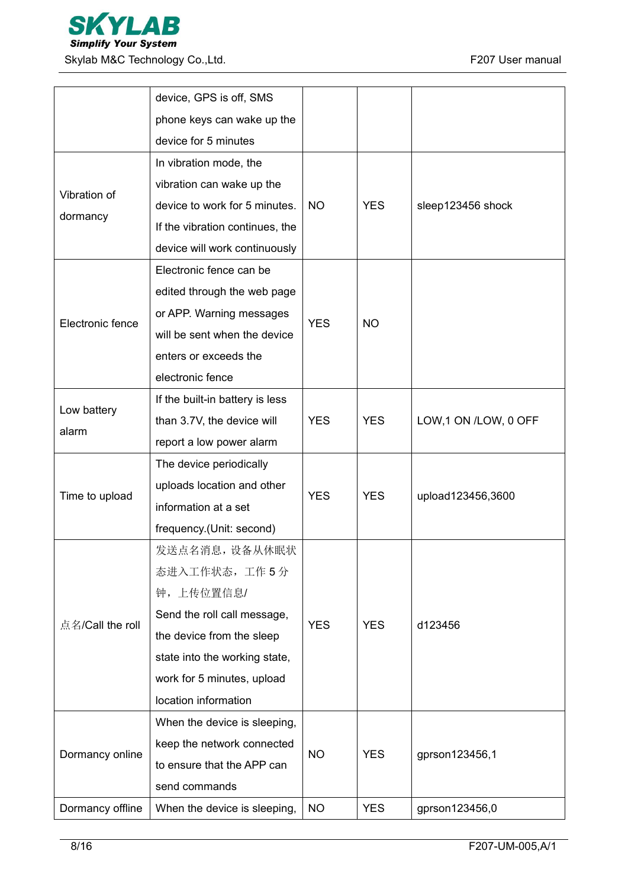

|                  | device, GPS is off, SMS         |            |            |                      |
|------------------|---------------------------------|------------|------------|----------------------|
|                  | phone keys can wake up the      |            |            |                      |
|                  | device for 5 minutes            |            |            |                      |
|                  | In vibration mode, the          |            |            |                      |
| Vibration of     | vibration can wake up the       |            |            |                      |
|                  | device to work for 5 minutes.   | <b>NO</b>  | <b>YES</b> | sleep123456 shock    |
| dormancy         | If the vibration continues, the |            |            |                      |
|                  | device will work continuously   |            |            |                      |
|                  | Electronic fence can be         |            |            |                      |
|                  | edited through the web page     |            |            |                      |
|                  | or APP. Warning messages        |            |            |                      |
| Electronic fence | will be sent when the device    | <b>YES</b> | <b>NO</b>  |                      |
|                  | enters or exceeds the           |            |            |                      |
|                  | electronic fence                |            |            |                      |
|                  | If the built-in battery is less |            |            |                      |
| Low battery      | than 3.7V, the device will      | <b>YES</b> | <b>YES</b> | LOW,1 ON /LOW, 0 OFF |
| alarm            | report a low power alarm        |            |            |                      |
|                  | The device periodically         | <b>YES</b> | <b>YES</b> | upload123456,3600    |
|                  | uploads location and other      |            |            |                      |
| Time to upload   | information at a set            |            |            |                      |
|                  | frequency.(Unit: second)        |            |            |                      |
|                  | 发送点名消息, 设备从休眠状                  |            | <b>YES</b> |                      |
|                  | 态进入工作状态,工作5分                    |            |            |                      |
|                  | 钟,上传位置信息/                       |            |            | d123456              |
|                  | Send the roll call message,     | <b>YES</b> |            |                      |
| 点名/Call the roll | the device from the sleep       |            |            |                      |
|                  | state into the working state,   |            |            |                      |
|                  | work for 5 minutes, upload      |            |            |                      |
|                  | location information            |            |            |                      |
| Dormancy online  | When the device is sleeping,    |            | <b>YES</b> |                      |
|                  | keep the network connected      |            |            | gprson123456,1       |
|                  | to ensure that the APP can      | <b>NO</b>  |            |                      |
|                  | send commands                   |            |            |                      |
| Dormancy offline | When the device is sleeping,    | <b>NO</b>  | <b>YES</b> | gprson123456,0       |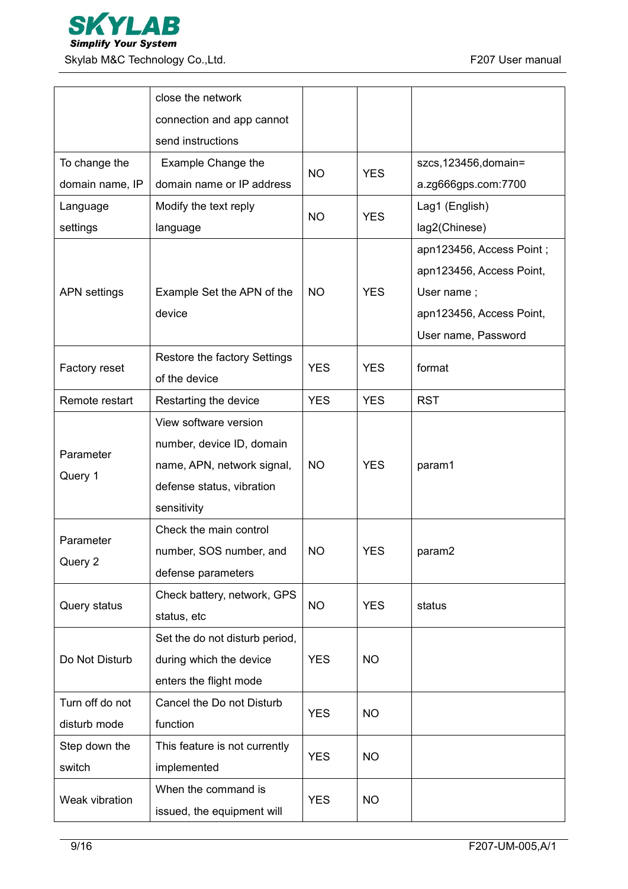

|                     | close the network              |            |            |                          |
|---------------------|--------------------------------|------------|------------|--------------------------|
|                     | connection and app cannot      |            |            |                          |
|                     | send instructions              |            |            |                          |
| To change the       | Example Change the             | <b>NO</b>  | <b>YES</b> | szcs, 123456, domain=    |
| domain name, IP     | domain name or IP address      |            |            | a.zg666gps.com:7700      |
| Language            | Modify the text reply          | <b>NO</b>  | <b>YES</b> | Lag1 (English)           |
| settings            | language                       |            |            | lag2(Chinese)            |
|                     |                                |            |            | apn123456, Access Point; |
|                     |                                |            |            | apn123456, Access Point, |
| <b>APN</b> settings | Example Set the APN of the     | <b>NO</b>  | <b>YES</b> | User name;               |
|                     | device                         |            |            | apn123456, Access Point, |
|                     |                                |            |            | User name, Password      |
| Factory reset       | Restore the factory Settings   | <b>YES</b> | <b>YES</b> | format                   |
|                     | of the device                  |            |            |                          |
| Remote restart      | Restarting the device          | <b>YES</b> | <b>YES</b> | <b>RST</b>               |
|                     | View software version          |            |            |                          |
| Parameter           | number, device ID, domain      |            |            |                          |
|                     | name, APN, network signal,     | <b>NO</b>  | <b>YES</b> | param1                   |
| Query 1             | defense status, vibration      |            |            |                          |
|                     | sensitivity                    |            |            |                          |
|                     | Check the main control         |            |            |                          |
| Parameter           | number, SOS number, and        | <b>NO</b>  | <b>YES</b> | param2                   |
| Query 2             | defense parameters             |            |            |                          |
|                     | Check battery, network, GPS    |            |            |                          |
| Query status        | status, etc                    | <b>NO</b>  | <b>YES</b> | status                   |
|                     | Set the do not disturb period, |            |            |                          |
| Do Not Disturb      | during which the device        | <b>YES</b> | <b>NO</b>  |                          |
|                     | enters the flight mode         |            |            |                          |
| Turn off do not     | Cancel the Do not Disturb      |            |            |                          |
| disturb mode        | function                       | <b>YES</b> | <b>NO</b>  |                          |
| Step down the       | This feature is not currently  |            |            |                          |
| switch              | implemented                    | <b>YES</b> | <b>NO</b>  |                          |
|                     | When the command is            |            |            |                          |
| Weak vibration      | issued, the equipment will     | <b>YES</b> | <b>NO</b>  |                          |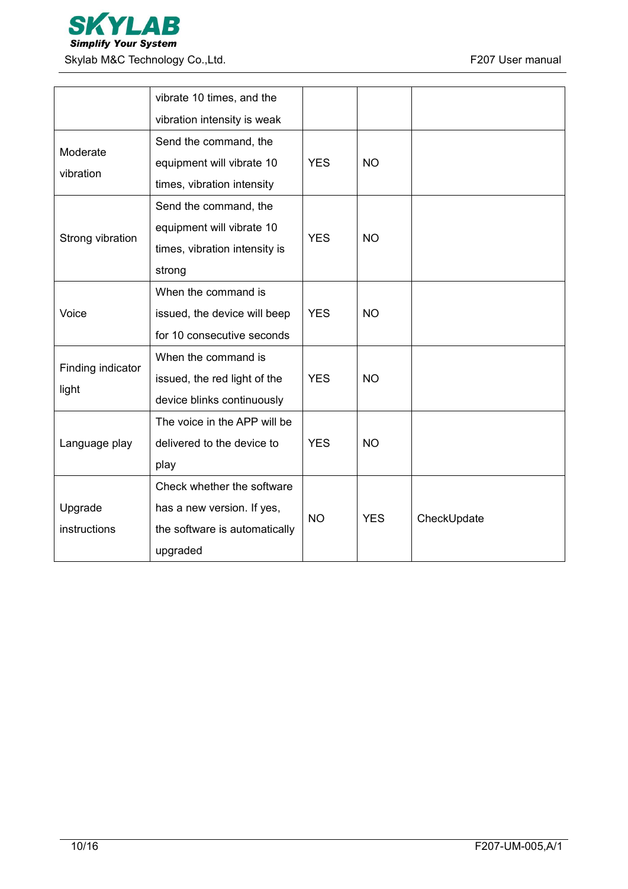

|                   | vibrate 10 times, and the     |            |            |             |  |
|-------------------|-------------------------------|------------|------------|-------------|--|
|                   | vibration intensity is weak   |            |            |             |  |
| Moderate          | Send the command, the         |            |            |             |  |
| vibration         | equipment will vibrate 10     | <b>YES</b> | <b>NO</b>  |             |  |
|                   | times, vibration intensity    |            |            |             |  |
|                   | Send the command, the         |            |            |             |  |
| Strong vibration  | equipment will vibrate 10     | <b>YES</b> | <b>NO</b>  |             |  |
|                   | times, vibration intensity is |            |            |             |  |
|                   | strong                        |            |            |             |  |
|                   | When the command is           |            |            |             |  |
| Voice             | issued, the device will beep  | <b>YES</b> | <b>NO</b>  |             |  |
|                   | for 10 consecutive seconds    |            |            |             |  |
| Finding indicator | When the command is           |            |            |             |  |
| light             | issued, the red light of the  | <b>YES</b> | <b>NO</b>  |             |  |
|                   | device blinks continuously    |            |            |             |  |
|                   | The voice in the APP will be  |            |            |             |  |
| Language play     | delivered to the device to    | <b>YES</b> | <b>NO</b>  |             |  |
|                   | play                          |            |            |             |  |
|                   | Check whether the software    |            |            |             |  |
| Upgrade           | has a new version. If yes,    | <b>NO</b>  | <b>YES</b> | CheckUpdate |  |
| instructions      | the software is automatically |            |            |             |  |
|                   | upgraded                      |            |            |             |  |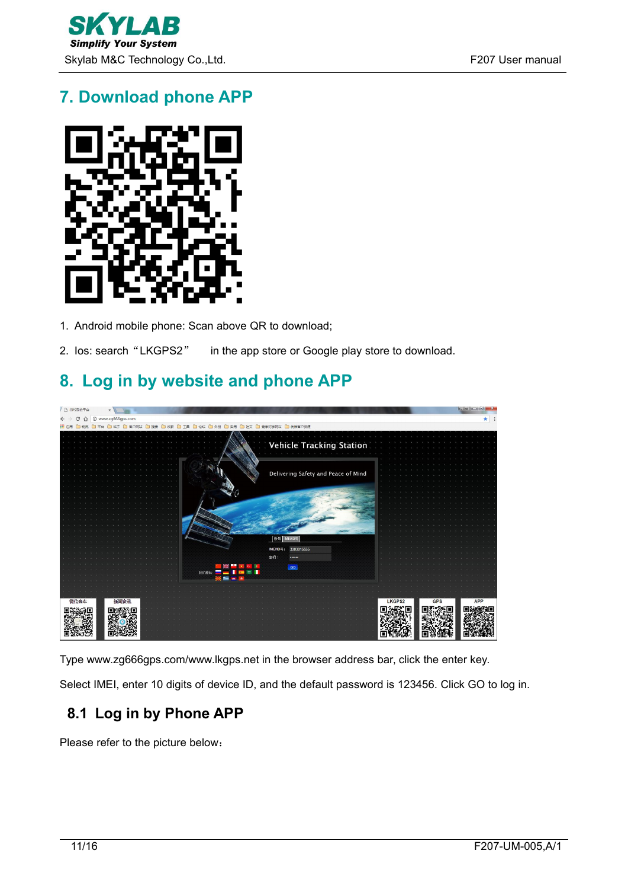

# <span id="page-10-0"></span>**7. Download phone APP**



- 1. Android mobile phone: Scan above QR to download;
- 2. Ios: search "LKGPS2" in the app store or Google play store to download.

# <span id="page-10-1"></span>**8. Log in by website and phone APP**



Type www.zg666gps.com/www.lkgps.net in the browser address bar, click the enter key.

Select IMEI, enter 10 digits of device ID, and the default password is 123456. Click GO to log in.

## <span id="page-10-2"></span>**8.1 Log in by Phone APP**

Please refer to the picture below: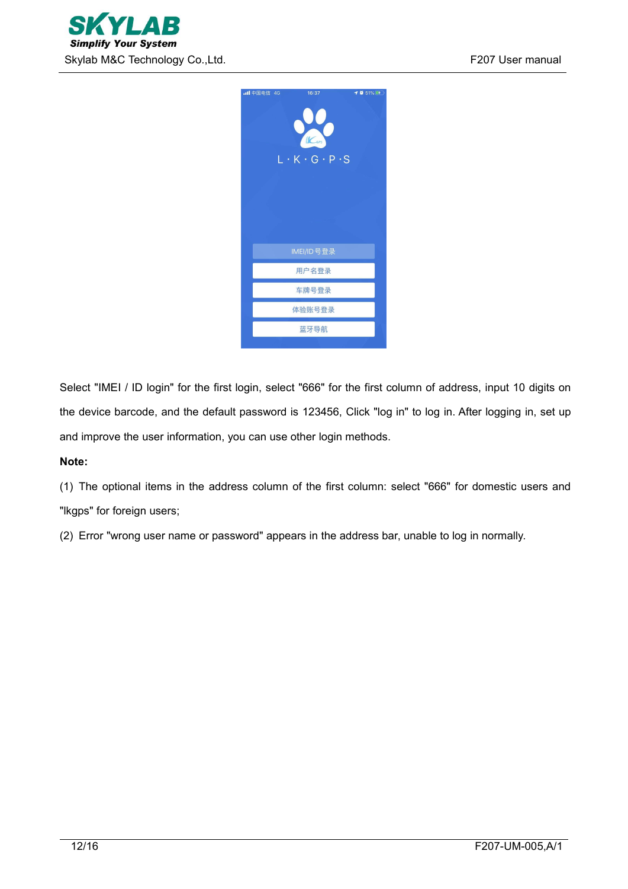



Select "IMEI / ID login" for the first login, select "666" for the first column of address, input 10 digits on the device barcode, and the default password is 123456, Click "log in" to log in. After logging in, set up and improve the user information, you can use other login methods.

#### **Note:**

(1) The optional items in the address column of the first column: select "666" for domestic users and "lkgps" for foreign users;

(2) Error "wrong user name or password" appears in the address bar, unable to log in normally.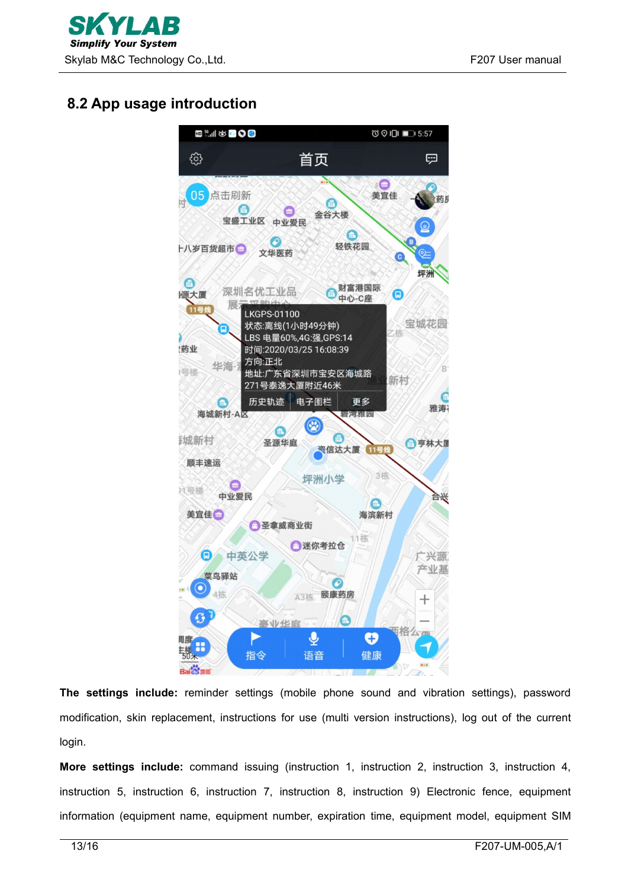

## <span id="page-12-0"></span>**8.2 App usage introduction**



**The settings include:** reminder settings (mobile phone sound and vibration settings), password modification, skin replacement, instructions for use (multi version instructions), log out of the current login.

**More settings include:** command issuing (instruction 1, instruction 2, instruction 3, instruction 4, instruction 5, instruction 6, instruction 7, instruction 8, instruction 9) Electronic fence, equipment information (equipment name, equipment number, expiration time, equipment model, equipment SIM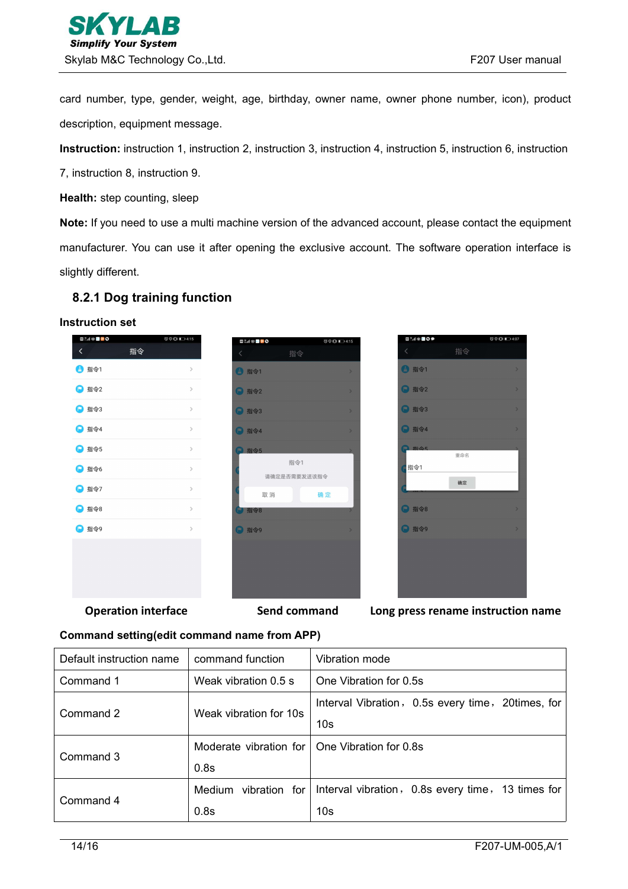card number, type, gender, weight, age, birthday, owner name, owner phone number, icon), product description, equipment message.

**Instruction:** instruction 1, instruction 2, instruction 3, instruction 4, instruction 5, instruction 6, instruction

7, instruction 8, instruction 9.

**Health:** step counting, sleep

**Note:** If you need to use a multi machine version of the advanced account, please contact the equipment manufacturer. You can use it after opening the exclusive account. The software operation interface is slightly different.

### <span id="page-13-0"></span>**8.2.1 Dog training function**

#### **Instruction set**

| <b>国 : 11 お 区 <mark>&gt;</mark> 〇</b> |    | <b>© © IDI</b> ■ 4:15 |
|---------------------------------------|----|-----------------------|
| く                                     | 指令 |                       |
| 4 指令1                                 |    | $\mathcal{P}$         |
| □ 指令2                                 |    | $\mathcal{P}$         |
| ■ 指令3                                 |    | $\mathcal{P}$         |
| <b>D</b> 指令4                          |    | $\mathcal{P}$         |
| □ 指令5                                 |    | $\mathcal{P}$         |
| □ 指令6                                 |    | $\mathcal{P}$         |
| ■ 指令7                                 |    | $\mathcal{P}$         |
| □ 指令8                                 |    | $\mathcal{P}$         |
| 指令9<br>P                              |    | $\mathcal{P}$         |
|                                       |    |                       |

|       | <b>⊡‱</b> se <mark>⊳o</mark> |    |              | <b>© ⊙ iDi</b> ■ 4:15 |   |
|-------|------------------------------|----|--------------|-----------------------|---|
| $\,<$ |                              |    | 指令           |                       |   |
|       | □ 指令1                        |    |              |                       | X |
|       | <b>D</b> 指令2                 |    |              |                       | s |
|       | <b>D</b> 指令3                 |    |              |                       | s |
|       | <b>• 指令4</b>                 |    |              |                       | S |
|       | <b>● 指令5</b>                 |    |              |                       | s |
|       |                              |    | 指令1          |                       |   |
|       |                              |    | 请确定是否需要发送该指令 |                       |   |
|       |                              | 取消 |              | 确定                    |   |
| ŢΠ.   | 指令8                          |    |              |                       |   |
|       | <b>D</b> 指令9                 |    |              |                       | X |
|       |                              |    |              |                       |   |
|       |                              |    |              |                       |   |
|       |                              |    |              |                       |   |
|       |                              |    |              |                       |   |
|       |                              |    |              |                       |   |



**Operation interface Send command Long press rename instruction name**

#### **Command setting(edit command name from APP)**

| Default instruction name | command function                                 | Vibration mode                                    |
|--------------------------|--------------------------------------------------|---------------------------------------------------|
| Command 1                | One Vibration for 0.5s<br>Weak vibration $0.5$ s |                                                   |
| Command 2                | Weak vibration for 10s                           | Interval Vibration, 0.5s every time, 20times, for |
|                          |                                                  | 10 <sub>s</sub>                                   |
| Command 3                | Moderate vibration for   One Vibration for 0.8s  |                                                   |
|                          | 0.8s                                             |                                                   |
| Command 4                | Medium<br>vibration for                          | Interval vibration, 0.8s every time, 13 times for |
|                          | 0.8s                                             | 10 <sub>s</sub>                                   |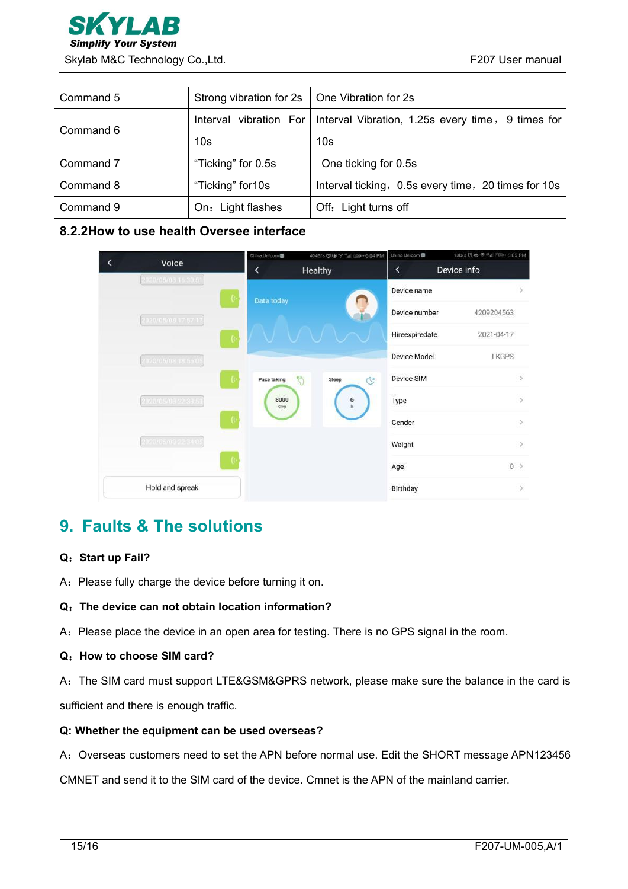

| Command 5 | Strong vibration for 2s | One Vibration for 2s                                                       |  |
|-----------|-------------------------|----------------------------------------------------------------------------|--|
| Command 6 |                         | Interval vibration For   Interval Vibration, 1.25s every time, 9 times for |  |
|           | 10 <sub>s</sub>         | 10 <sub>s</sub>                                                            |  |
| Command 7 | "Ticking" for 0.5s      | One ticking for 0.5s                                                       |  |
| Command 8 | "Ticking" for 10s       | Interval ticking, 0.5s every time, 20 times for 10s                        |  |
| Command 9 | On: Light flashes       | Off: Light turns off                                                       |  |

## <span id="page-14-0"></span>**8.2.2How to use health Oversee interface**

|                              | China Unicom | 404B/s びぬ 字 "』 100+6:04 PM | China Unicom   | 13B/s び b 字 * al 109 + 6:05 PM |
|------------------------------|--------------|----------------------------|----------------|--------------------------------|
| Voice<br>2020/05/08 16:30:51 | K            | Healthy                    | K              | Device info                    |
|                              | Data today   |                            | Device name    |                                |
| 2020/05/08 17:57:17          |              |                            | Device number  | 4209204563                     |
| <b>K</b>                     |              |                            | Hireexpiredate | 2021-04-17                     |
| 2020/05/08 18:55:05          |              |                            | Device Model   | LKGPS                          |
|                              | Pace taking  | to:<br>Sleep<br>G          | Device SIM     | S.                             |
| 2020/05/08 22:33:53          | 8000<br>Step | 6                          | Type           | $\,$                           |
|                              |              |                            | Gender         | $\rightarrow$                  |
| 2020/05/08 22:34:05          |              |                            | Weight         | $\,>$                          |
|                              |              |                            | Age            | $0$ >                          |
| Hold and spreak              |              |                            | Birthday       | $\mathcal{S}$                  |

## <span id="page-14-1"></span>**9. Faults & The solutions**

#### **Q**:**Start up Fail?**

A: Please fully charge the device before turning it on.

#### **Q**:**The device can not obtain location information?**

A: Please place the device in an open area for testing. There is no GPS signal in the room.

#### **Q**:**How to choose SIM card?**

A:The SIM card must support LTE&GSM&GPRS network, please make sure the balance in the card is

sufficient and there is enough traffic.

#### **Q: Whether the equipment can be used overseas?**

A: Overseas customers need to set the APN before normal use. Edit the SHORT message APN123456

CMNET and send it to the SIM card of the device. Cmnet is the APN of the mainland carrier.